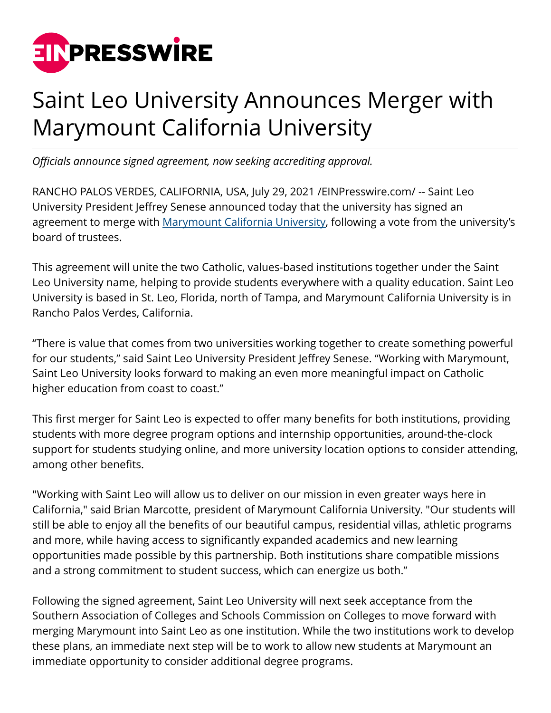

## Saint Leo University Announces Merger with Marymount California University

*Officials announce signed agreement, now seeking accrediting approval.*

RANCHO PALOS VERDES, CALIFORNIA, USA, July 29, 2021 [/EINPresswire.com/](http://www.einpresswire.com) -- Saint Leo University President Jeffrey Senese announced today that the university has signed an agreement to merge with [Marymount California University,](http://marymountcalifornia.edu) following a vote from the university's board of trustees.

This agreement will unite the two Catholic, values-based institutions together under the Saint Leo University name, helping to provide students everywhere with a quality education. Saint Leo University is based in St. Leo, Florida, north of Tampa, and Marymount California University is in Rancho Palos Verdes, California.

"There is value that comes from two universities working together to create something powerful for our students," said Saint Leo University President Jeffrey Senese. "Working with Marymount, Saint Leo University looks forward to making an even more meaningful impact on Catholic higher education from coast to coast."

This first merger for Saint Leo is expected to offer many benefits for both institutions, providing students with more degree program options and internship opportunities, around-the-clock support for students studying online, and more university location options to consider attending, among other benefits.

"Working with Saint Leo will allow us to deliver on our mission in even greater ways here in California," said Brian Marcotte, president of Marymount California University. "Our students will still be able to enjoy all the benefits of our beautiful campus, residential villas, athletic programs and more, while having access to significantly expanded academics and new learning opportunities made possible by this partnership. Both institutions share compatible missions and a strong commitment to student success, which can energize us both."

Following the signed agreement, Saint Leo University will next seek acceptance from the Southern Association of Colleges and Schools Commission on Colleges to move forward with merging Marymount into Saint Leo as one institution. While the two institutions work to develop these plans, an immediate next step will be to work to allow new students at Marymount an immediate opportunity to consider additional degree programs.